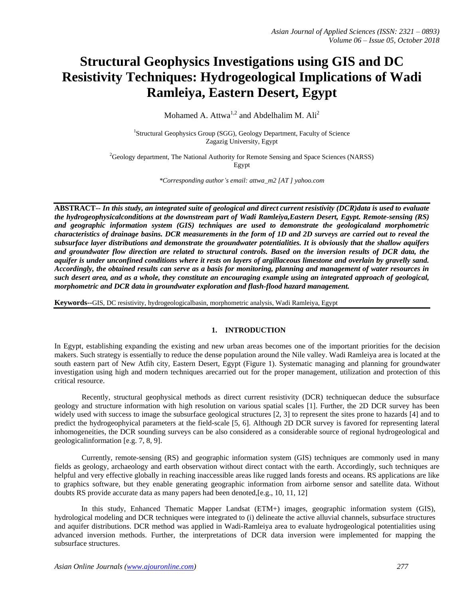# **Structural Geophysics Investigations using GIS and DC Resistivity Techniques: Hydrogeological Implications of Wadi Ramleiya, Eastern Desert, Egypt**

Mohamed A. Attwa<sup>1,2</sup> and Abdelhalim M.  $\text{Ali}^2$ 

<sup>1</sup>Structural Geophysics Group (SGG), Geology Department, Faculty of Science Zagazig University, Egypt

<sup>2</sup>Geology department, The National Authority for Remote Sensing and Space Sciences (NARSS) Egypt

*\*Corresponding author's email: attwa\_m2 [AT ] yahoo.com*

**ABSTRACT--** *In this study, an integrated suite of geological and direct current resistivity (DCR)data is used to evaluate the hydrogeophysicalconditions at the downstream part of Wadi Ramleiya,Eastern Desert, Egypt. Remote-sensing (RS) and geographic information system (GIS) techniques are used to demonstrate the geologicaland morphometric characteristics of drainage basins. DCR measurements in the form of 1D and 2D surveys are carried out to reveal the subsurface layer distributions and demonstrate the groundwater potentialities. It is obviously that the shallow aquifers and groundwater flow direction are related to structural controls. Based on the inversion results of DCR data, the aquifer is under unconfined conditions where it rests on layers of argillaceous limestone and overlain by gravelly sand. Accordingly, the obtained results can serve as a basis for monitoring, planning and management of water resources in such desert area, and as a whole, they constitute an encouraging example using an integrated approach of geological, morphometric and DCR data in groundwater exploration and flash-flood hazard management.*

**Keywords--**GIS, DC resistivity, hydrogeologicalbasin, morphometric analysis, Wadi Ramleiya, Egypt

# **1. INTRODUCTION**

In Egypt, establishing expanding the existing and new urban areas becomes one of the important priorities for the decision makers. Such strategy is essentially to reduce the dense population around the Nile valley. Wadi Ramleiya area is located at the south eastern part of New Atfih city, Eastern Desert, Egypt (Figure 1). Systematic managing and planning for groundwater investigation using high and modern techniques arecarried out for the proper management, utilization and protection of this critical resource.

Recently, structural geophysical methods as direct current resistivity (DCR) techniquecan deduce the subsurface geology and structure information with high resolution on various spatial scales [1]. Further, the 2D DCR survey has been widely used with success to image the subsurface geological structures [2, 3] to represent the sites prone to hazards [4] and to predict the hydrogeophyical parameters at the field-scale [5, 6]. Although 2D DCR survey is favored for representing lateral inhomogeneities, the DCR sounding surveys can be also considered as a considerable source of regional hydrogeological and geologicalinformation [e.g. 7, 8, 9].

Currently, remote-sensing (RS) and geographic information system (GIS) techniques are commonly used in many fields as geology, archaeology and earth observation without direct contact with the earth. Accordingly, such techniques are helpful and very effective globally in reaching inaccessible areas like rugged lands forests and oceans. RS applications are like to graphics software, but they enable generating geographic information from airborne sensor and satellite data. Without doubts RS provide accurate data as many papers had been denoted,[e.g., 10, 11, 12]

In this study, Enhanced Thematic Mapper Landsat (ETM+) images, geographic information system (GIS), hydrological modeling and DCR techniques were integrated to (i) delineate the active alluvial channels, subsurface structures and aquifer distributions. DCR method was applied in Wadi-Ramleiya area to evaluate hydrogeological potentialities using advanced inversion methods. Further, the interpretations of DCR data inversion were implemented for mapping the subsurface structures.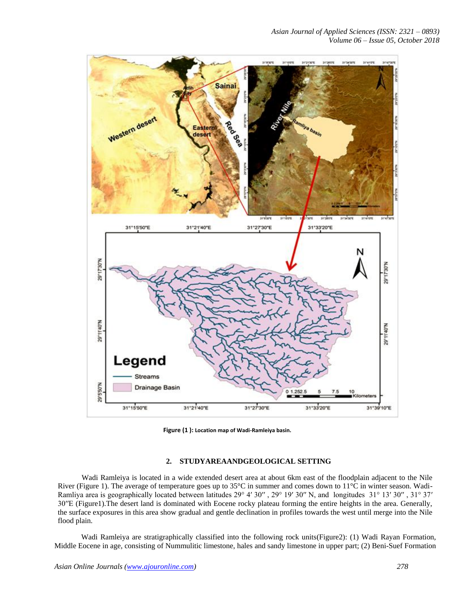

**Figure (1 ): Location map of Wadi-Ramleiya basin.**

# **2. STUDYAREAANDGEOLOGICAL SETTING**

Wadi Ramleiya is located in a wide extended desert area at about 6km east of the floodplain adjacent to the Nile River (Figure 1). The average of temperature goes up to 35°C in summer and comes down to 11°C in winter season. Wadi-Ramliya area is geographically located between latitudes 29° 4′ 30″, 29° 19′ 30″ N, and longitudes 31° 13′ 30″, 31° 37′ 30′′E (Figure1).The desert land is dominated with Eocene rocky plateau forming the entire heights in the area. Generally, the surface exposures in this area show gradual and gentle declination in profiles towards the west until merge into the Nile flood plain.

Wadi Ramleiya are stratigraphically classified into the following rock units(Figure2): (1) Wadi Rayan Formation, Middle Eocene in age, consisting of Nummulitic limestone, hales and sandy limestone in upper part; (2) Beni-Suef Formation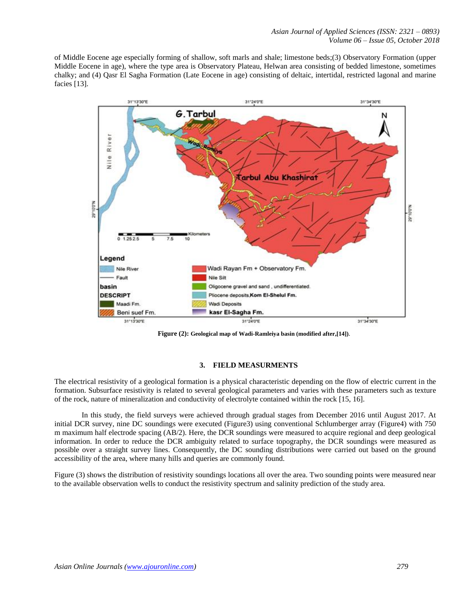of Middle Eocene age especially forming of shallow, soft marls and shale; limestone beds;(3) Observatory Formation (upper Middle Eocene in age), where the type area is Observatory Plateau, Helwan area consisting of bedded limestone, sometimes chalky; and (4) Qasr El Sagha Formation (Late Eocene in age) consisting of deltaic, intertidal, restricted lagonal and marine facies [13].



**Figure (2): Geological map of Wadi-Ramleiya basin (modified after,[14])**.

### **3. FIELD MEASURMENTS**

The electrical resistivity of a geological formation is a physical characteristic depending on the flow of electric current in the formation. Subsurface resistivity is related to several geological parameters and varies with these parameters such as texture of the rock, nature of mineralization and conductivity of electrolyte contained within the rock [15, 16].

In this study, the field surveys were achieved through gradual stages from December 2016 until August 2017. At initial DCR survey, nine DC soundings were executed (Figure3) using conventional Schlumberger array (Figure4) with 750 m maximum half electrode spacing (AB/2). Here, the DCR soundings were measured to acquire regional and deep geological information. In order to reduce the DCR ambiguity related to surface topography, the DCR soundings were measured as possible over a straight survey lines. Consequently, the DC sounding distributions were carried out based on the ground accessibility of the area, where many hills and queries are commonly found.

Figure (3) shows the distribution of resistivity soundings locations all over the area. Two sounding points were measured near to the available observation wells to conduct the resistivity spectrum and salinity prediction of the study area.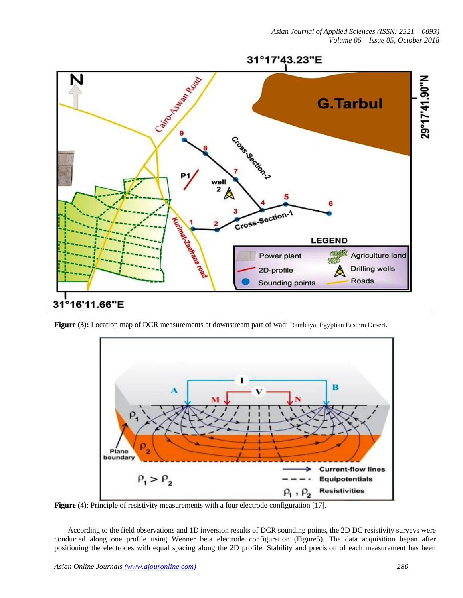

**Figure (3):** Location map of DCR measurements at downstream part of wadi Ramleiya, Egyptian Eastern Desert.



**Figure (4**): Principle of resistivity measurements with a four electrode configuration [17].

According to the field observations and 1D inversion results of DCR sounding points, the 2D DC resistivity surveys were conducted along one profile using Wenner beta electrode configuration (Figure5). The data acquisition began after positioning the electrodes with equal spacing along the 2D profile. Stability and precision of each measurement has been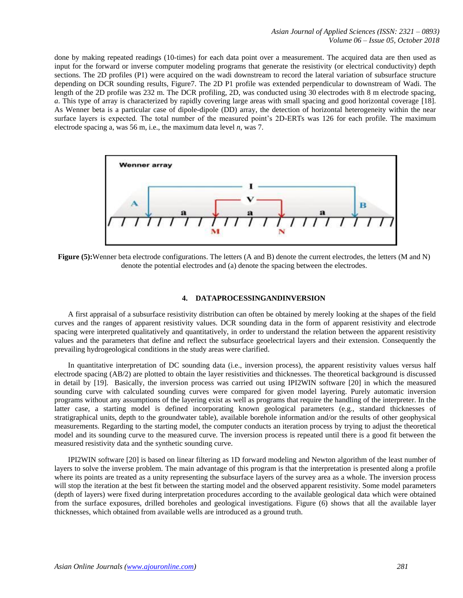*Asian Journal of Applied Sciences (ISSN: 2321 – 0893) Volume 06 – Issue 05, October 2018*

done by making repeated readings (10-times) for each data point over a measurement. The acquired data are then used as input for the forward or inverse computer modeling programs that generate the resistivity (or electrical conductivity) depth sections. The 2D profiles (P1) were acquired on the wadi downstream to record the lateral variation of subsurface structure depending on DCR sounding results, Figure7. The 2D P1 profile was extended perpendicular to downstream of Wadi. The length of the 2D profile was 232 m. The DCR profiling, 2D, was conducted using 30 electrodes with 8 m electrode spacing, *a*. This type of array is characterized by rapidly covering large areas with small spacing and good horizontal coverage [18]. As Wenner beta is a particular case of dipole-dipole (DD) array, the detection of horizontal heterogeneity within the near surface layers is expected. The total number of the measured point's 2D-ERTs was 126 for each profile. The maximum electrode spacing a, was 56 m, i.e., the maximum data level *n*, was 7.



**Figure (5):**Wenner beta electrode configurations. The letters (A and B) denote the current electrodes, the letters (M and N) denote the potential electrodes and (a) denote the spacing between the electrodes.

#### **4. DATAPROCESSINGANDINVERSION**

A first appraisal of a subsurface resistivity distribution can often be obtained by merely looking at the shapes of the field curves and the ranges of apparent resistivity values. DCR sounding data in the form of apparent resistivity and electrode spacing were interpreted qualitatively and quantitatively, in order to understand the relation between the apparent resistivity values and the parameters that define and reflect the subsurface geoelectrical layers and their extension. Consequently the prevailing hydrogeological conditions in the study areas were clarified.

In quantitative interpretation of DC sounding data (i.e., inversion process), the apparent resistivity values versus half electrode spacing (AB/2) are plotted to obtain the layer resistivities and thicknesses. The theoretical background is discussed in detail by [19]. Basically, the inversion process was carried out using IPI2WIN software [20] in which the measured sounding curve with calculated sounding curves were compared for given model layering. Purely automatic inversion programs without any assumptions of the layering exist as well as programs that require the handling of the interpreter. In the latter case, a starting model is defined incorporating known geological parameters (e.g., standard thicknesses of stratigraphical units, depth to the groundwater table), available borehole information and/or the results of other geophysical measurements. Regarding to the starting model, the computer conducts an iteration process by trying to adjust the theoretical model and its sounding curve to the measured curve. The inversion process is repeated until there is a good fit between the measured resistivity data and the synthetic sounding curve.

IPI2WIN software [20] is based on linear filtering as 1D forward modeling and Newton algorithm of the least number of layers to solve the inverse problem. The main advantage of this program is that the interpretation is presented along a profile where its points are treated as a unity representing the subsurface layers of the survey area as a whole. The inversion process will stop the iteration at the best fit between the starting model and the observed apparent resistivity. Some model parameters (depth of layers) were fixed during interpretation procedures according to the available geological data which were obtained from the surface exposures, drilled boreholes and geological investigations. Figure (6) shows that all the available layer thicknesses, which obtained from available wells are introduced as a ground truth.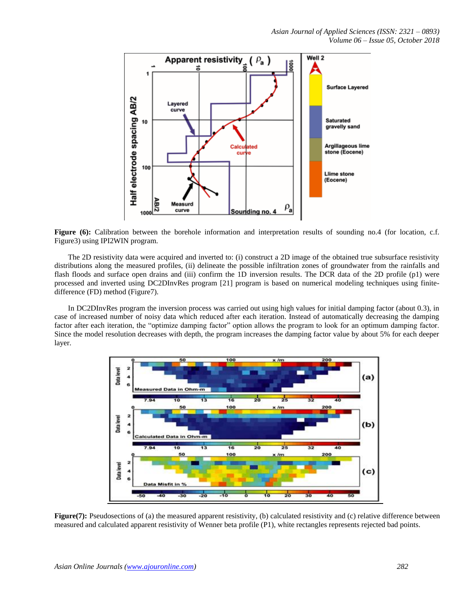

Figure (6): Calibration between the borehole information and interpretation results of sounding no.4 (for location, c.f. Figure3) using IPI2WIN program.

The 2D resistivity data were acquired and inverted to: (i) construct a 2D image of the obtained true subsurface resistivity distributions along the measured profiles, (ii) delineate the possible infiltration zones of groundwater from the rainfalls and flash floods and surface open drains and (iii) confirm the 1D inversion results. The DCR data of the 2D profile (p1) were processed and inverted using DC2DInvRes program [21] program is based on numerical modeling techniques using finitedifference (FD) method (Figure7).

In DC2DInvRes program the inversion process was carried out using high values for initial damping factor (about 0.3), in case of increased number of noisy data which reduced after each iteration. Instead of automatically decreasing the damping factor after each iteration, the "optimize damping factor" option allows the program to look for an optimum damping factor. Since the model resolution decreases with depth, the program increases the damping factor value by about 5% for each deeper layer.



**Figure(7):** Pseudosections of (a) the measured apparent resistivity, (b) calculated resistivity and (c) relative difference between measured and calculated apparent resistivity of Wenner beta profile (P1), white rectangles represents rejected bad points.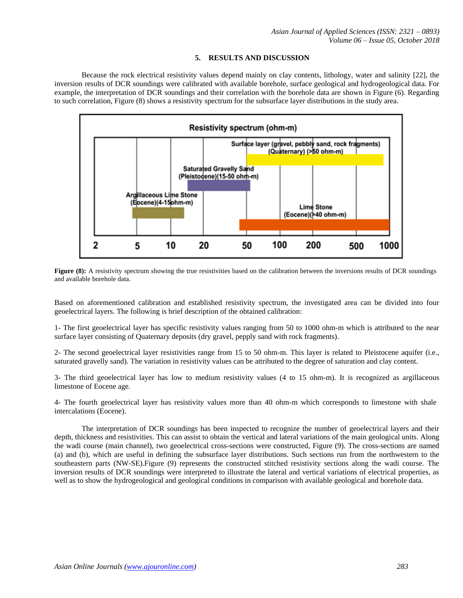## **5. RESULTS AND DISCUSSION**

Because the rock electrical resistivity values depend mainly on clay contents, lithology, water and salinity [22], the inversion results of DCR soundings were calibrated with available borehole, surface geological and hydrogeological data. For example, the interpretation of DCR soundings and their correlation with the borehole data are shown in Figure (6). Regarding to such correlation, Figure (8) shows a resistivity spectrum for the subsurface layer distributions in the study area.



**Figure** (8): A resistivity spectrum showing the true resistivities based on the calibration between the inversions results of DCR soundings and available borehole data.

Based on aforementioned calibration and established resistivity spectrum, the investigated area can be divided into four geoelectrical layers. The following is brief description of the obtained calibration:

1- The first geoelectrical layer has specific resistivity values ranging from 50 to 1000 ohm-m which is attributed to the near surface layer consisting of Quaternary deposits (dry gravel, pepply sand with rock fragments).

2- The second geoelectrical layer resistivities range from 15 to 50 ohm-m. This layer is related to Pleistocene aquifer (i.e., saturated gravelly sand). The variation in resistivity values can be attributed to the degree of saturation and clay content.

3- The third geoelectrical layer has low to medium resistivity values (4 to 15 ohm-m). It is recognized as argillaceous limestone of Eocene age.

4- The fourth geoelectrical layer has resistivity values more than 40 ohm-m which corresponds to limestone with shale intercalations (Eocene).

The interpretation of DCR soundings has been inspected to recognize the number of geoelectrical layers and their depth, thickness and resistivities. This can assist to obtain the vertical and lateral variations of the main geological units. Along the wadi course (main channel), two geoelectrical cross-sections were constructed, Figure (9). The cross-sections are named (a) and (b), which are useful in defining the subsurface layer distributions. Such sections run from the northwestern to the southeastern parts (NW-SE).Figure (9) represents the constructed stitched resistivity sections along the wadi course. The inversion results of DCR soundings were interpreted to illustrate the lateral and vertical variations of electrical properties, as well as to show the hydrogeological and geological conditions in comparison with available geological and borehole data.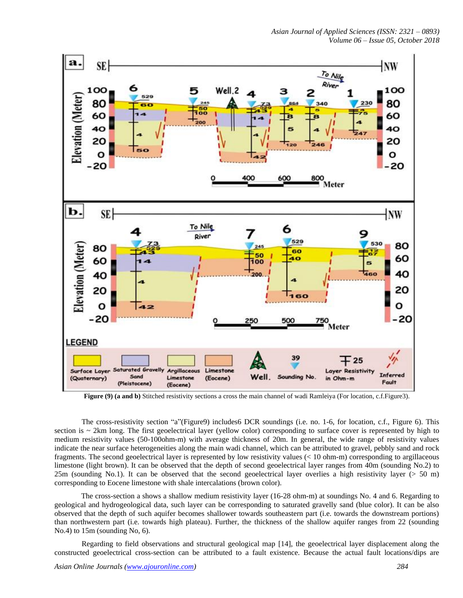

**Figure (9) (a and b)** Stitched resistivity sections a cross the main channel of wadi Ramleiya (For location, c.f.Figure3).

The cross-resistivity section "a"(Figure9) includes6 DCR soundings (i.e. no. 1-6, for location, c.f., Figure 6). This section is  $\sim$  2km long. The first geoelectrical layer (yellow color) corresponding to surface cover is represented by high to medium resistivity values (50-100ohm-m) with average thickness of 20m. In general, the wide range of resistivity values indicate the near surface heterogeneities along the main wadi channel, which can be attributed to gravel, pebbly sand and rock fragments. The second geoelectrical layer is represented by low resistivity values (< 10 ohm-m) corresponding to argillaceous limestone (light brown). It can be observed that the depth of second geoelectrical layer ranges from 40m (sounding No.2) to 25m (sounding No.1). It can be observed that the second geoelectrical layer overlies a high resistivity layer (> 50 m) corresponding to Eocene limestone with shale intercalations (brown color).

The cross-section a shows a shallow medium resistivity layer (16-28 ohm-m) at soundings No. 4 and 6. Regarding to geological and hydrogeological data, such layer can be corresponding to saturated gravelly sand (blue color). It can be also observed that the depth of such aquifer becomes shallower towards southeastern part (i.e. towards the downstream portions) than northwestern part (i.e. towards high plateau). Further, the thickness of the shallow aquifer ranges from 22 (sounding No.4) to 15m (sounding No, 6).

Regarding to field observations and structural geological map [14], the geoelectrical layer displacement along the constructed geoelectrical cross-section can be attributed to a fault existence. Because the actual fault locations/dips are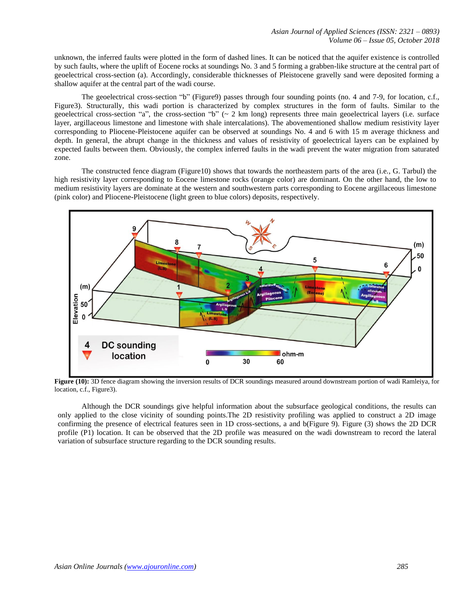unknown, the inferred faults were plotted in the form of dashed lines. It can be noticed that the aquifer existence is controlled by such faults, where the uplift of Eocene rocks at soundings No. 3 and 5 forming a grabben-like structure at the central part of geoelectrical cross-section (a). Accordingly, considerable thicknesses of Pleistocene gravelly sand were deposited forming a shallow aquifer at the central part of the wadi course.

The geoelectrical cross-section "b" (Figure9) passes through four sounding points (no. 4 and 7-9, for location, c.f., Figure3). Structurally, this wadi portion is characterized by complex structures in the form of faults. Similar to the geoelectrical cross-section "a", the cross-section "b" ( $\sim$  2 km long) represents three main geoelectrical layers (i.e. surface layer, argillaceous limestone and limestone with shale intercalations). The abovementioned shallow medium resistivity layer corresponding to Pliocene-Pleistocene aquifer can be observed at soundings No. 4 and 6 with 15 m average thickness and depth. In general, the abrupt change in the thickness and values of resistivity of geoelectrical layers can be explained by expected faults between them. Obviously, the complex inferred faults in the wadi prevent the water migration from saturated zone.

The constructed fence diagram (Figure10) shows that towards the northeastern parts of the area (i.e., G. Tarbul) the high resistivity layer corresponding to Eocene limestone rocks (orange color) are dominant. On the other hand, the low to medium resistivity layers are dominate at the western and southwestern parts corresponding to Eocene argillaceous limestone (pink color) and Pliocene-Pleistocene (light green to blue colors) deposits, respectively.



Figure (10): 3D fence diagram showing the inversion results of DCR soundings measured around downstream portion of wadi Ramleiya, for location, c.f., Figure3).

Although the DCR soundings give helpful information about the subsurface geological conditions, the results can only applied to the close vicinity of sounding points.The 2D resistivity profiling was applied to construct a 2D image confirming the presence of electrical features seen in 1D cross-sections, a and b(Figure 9). Figure (3) shows the 2D DCR profile (P1) location. It can be observed that the 2D profile was measured on the wadi downstream to record the lateral variation of subsurface structure regarding to the DCR sounding results.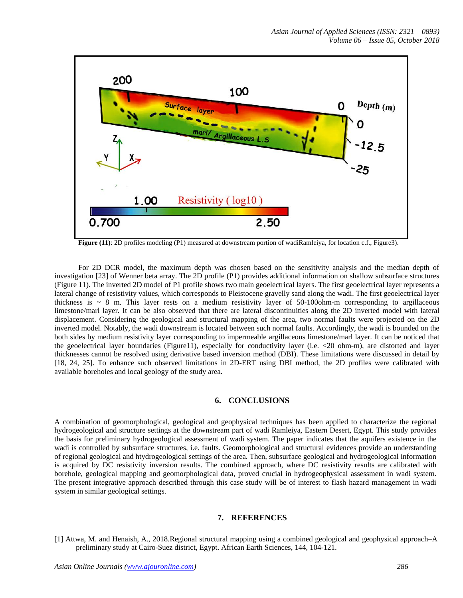

**Figure** (11): 2D profiles modeling (P1) measured at downstream portion of wadiRamleiya, for location c.f., Figure3).

For 2D DCR model, the maximum depth was chosen based on the sensitivity analysis and the median depth of investigation [23] of Wenner beta array. The 2D profile (P1) provides additional information on shallow subsurface structures (Figure 11). The inverted 2D model of P1 profile shows two main geoelectrical layers. The first geoelectrical layer represents a lateral change of resistivity values, which corresponds to Pleistocene gravelly sand along the wadi. The first geoelectrical layer thickness is  $\sim 8$  m. This layer rests on a medium resistivity layer of 50-100ohm-m corresponding to argillaceous limestone/marl layer. It can be also observed that there are lateral discontinuities along the 2D inverted model with lateral displacement. Considering the geological and structural mapping of the area, two normal faults were projected on the 2D inverted model. Notably, the wadi downstream is located between such normal faults. Accordingly, the wadi is bounded on the both sides by medium resistivity layer corresponding to impermeable argillaceous limestone/marl layer. It can be noticed that the geoelectrical layer boundaries (Figure11), especially for conductivity layer (i.e. <20 ohm-m), are distorted and layer thicknesses cannot be resolved using derivative based inversion method (DBI). These limitations were discussed in detail by [18, 24, 25]. To enhance such observed limitations in 2D-ERT using DBI method, the 2D profiles were calibrated with available boreholes and local geology of the study area.

#### **6. CONCLUSIONS**

A combination of geomorphological, geological and geophysical techniques has been applied to characterize the regional hydrogeological and structure settings at the downstream part of wadi Ramleiya, Eastern Desert, Egypt. This study provides the basis for preliminary hydrogeological assessment of wadi system. The paper indicates that the aquifers existence in the wadi is controlled by subsurface structures, i.e. faults. Geomorphological and structural evidences provide an understanding of regional geological and htydrogeological settings of the area. Then, subsurface geological and hydrogeological information is acquired by DC resistivity inversion results. The combined approach, where DC resistivity results are calibrated with borehole, geological mapping and geomorphological data, proved crucial in hydrogeophysical assessment in wadi system. The present integrative approach described through this case study will be of interest to flash hazard management in wadi system in similar geological settings.

# **7. REFERENCES**

[1] Attwa, M. and Henaish, A., 2018[.Regional structural mapping using a combined geological and geophysical approach–A](javascript:void(0))  [preliminary study at Cairo-Suez district, Egypt.](javascript:void(0)) African Earth Sciences, 144, 104-121.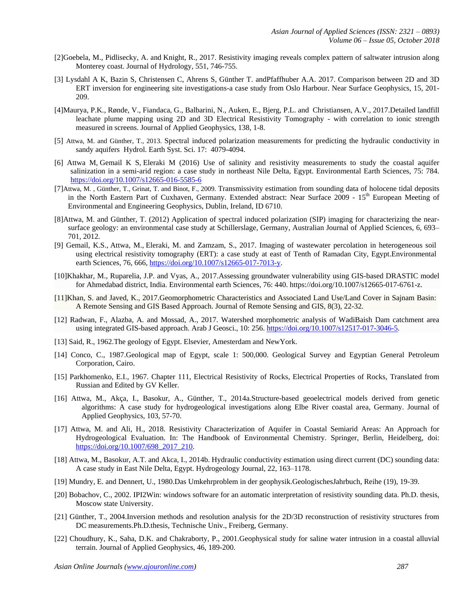- [2]Goebela, M., [Pidlisecky,](https://www.sciencedirect.com/science/article/pii/S0022169417301154#!) A. and [Knight,](https://www.sciencedirect.com/science/article/pii/S0022169417301154#!) R., 2017. Resistivity imaging reveals complex pattern of saltwater intrusion along Monterey coast. [Journal of Hydrology,](https://www.sciencedirect.com/science/journal/00221694) 551, 746-755.
- [3] Lysdahl A K, Bazin S, Christensen C, Ahrens S, Günther T. andPfaffhuber A.A. 2017. Comparison between 2D and 3D ERT inversion for engineering site investigations-a case study from Oslo Harbour. Near Surface Geophysics, 15, 201- 209.
- [4]Maurya, P.[K., Rønde, V.](http://orbit.dtu.dk/en/persons/vinni-kampman-roende(f97b225b-1e19-49a5-b044-8032225c2695).html), Fiandaca, G[., Balbarini, N.,](http://orbit.dtu.dk/en/persons/nicola-balbarini(6ac923bf-ab39-4076-b2c6-cd195374cc8d).html) Auken, E[., Bjerg, P.L.](http://orbit.dtu.dk/en/persons/poul-loegstrup-bjerg(c06e1108-55d2-4602-bac0-d7c020b40374).html) and Christiansen, A.V., 2017[.Detailed landfill](http://orbit.dtu.dk/en/publications/detailed-landfill-leachate-plume-mapping-using-2d-and-3d-electrical-resistivity-tomography--with-correlation-to-ionic-strength-measured-in-screens(6ee86414-bade-4b99-a682-9bef7259b71b).html)  [leachate plume mapping using 2D and 3D Electrical Resistivity Tomography -](http://orbit.dtu.dk/en/publications/detailed-landfill-leachate-plume-mapping-using-2d-and-3d-electrical-resistivity-tomography--with-correlation-to-ionic-strength-measured-in-screens(6ee86414-bade-4b99-a682-9bef7259b71b).html) with correlation to ionic strength [measured in screens.](http://orbit.dtu.dk/en/publications/detailed-landfill-leachate-plume-mapping-using-2d-and-3d-electrical-resistivity-tomography--with-correlation-to-ionic-strength-measured-in-screens(6ee86414-bade-4b99-a682-9bef7259b71b).html) [Journal of Applied Geophysics,](http://orbit.dtu.dk/en/journals/journal-of-applied-geophysics(1348f0db-aa76-40ff-9489-adabbd067698).html) 138, 1-8.
- [5] Attwa, M. and Günther, T., 2013. Spectral induced polarization measurements for predicting the hydraulic conductivity in sandy aquifers Hydrol. Earth Syst. Sci. 17: 4079-4094.
- [6] Attwa M, Gemail K S, Eleraki M (2016) Use of salinity and resistivity measurements to study the coastal aquifer salinization in a semi-arid region: a case study in northeast Nile Delta, Egypt. Environmental Earth Sciences, 75: 784. <https://doi.org/10.1007/s12665-016-5585-6>
- [7]Attwa, M. , Günther, T., Grinat, T. and Binot, F., 2009. Transmissivity estimation from sounding data of holocene tidal deposits in the North Eastern Part of Cuxhaven, Germany. Extended abstract: Near Surface 2009 - 15<sup>th</sup> European Meeting of Environmental and Engineering Geophysics, Dublin, Ireland, ID 6710.
- [8]Attwa, M. and Günther, T. (2012) Application of spectral induced polarization (SIP) imaging for characterizing the nearsurface geology: an environmental case study at Schillerslage, Germany, Australian Journal of Applied Sciences, 6, 693– 701, 2012.
- [9] Gemail, K.S., Attwa, M., Eleraki, M. and Zamzam, S., 2017. Imaging of wastewater percolation in heterogeneous soil using electrical resistivity tomography (ERT): a case study at east of Tenth of Ramadan City, Egypt.Environmental earth Sciences, 76, 666, [https://doi.org/10.1007/s12665-017-7013-y.](https://doi.org/10.1007/s12665-017-7013-y)
- [10]Khakhar, M., Ruparelia, J.P. and Vyas, A., 2017.Assessing groundwater vulnerability using GIS-based DRASTIC model for Ahmedabad district, India. Environmental earth Sciences, 76: 440. https://doi.org/10.1007/s12665-017-6761-z.
- [11]Khan, S. and Javed, K., 2017.Geomorphometric Characteristics and Associated Land Use/Land Cover in Sajnam Basin: A Remote Sensing and GIS Based Approach. Journal of Remote Sensing and GIS, 8(3), 22-32.
- [12] Radwan, F., Alazba, A. and Mossad, A., 2017. Watershed morphometric analysis of WadiBaish Dam catchment area using integrated GIS-based approach. Arab J Geosci., 10: 256. [https://doi.org/10.1007/s12517-017-3046-5.](https://doi.org/10.1007/s12517-017-3046-5)
- [13] Said, R., 1962. The geology of Egypt. Elsevier, Amesterdam and NewYork.
- [14] Conco, C., 1987.Geological map of Egypt, scale 1: 500,000. Geological Survey and Egyptian General Petroleum Corporation, Cairo.
- [15] Parkhomenko, E.I., 1967. Chapter 111, Electrical Resistivity of Rocks, Electrical Properties of Rocks, Translated from Russian and Edited by GV Keller.
- [16] Attwa, M., Akça, I., Basokur, A., Günther, T., 2014a.Structure-based geoelectrical models derived from genetic algorithms: A case study for hydrogeological investigations along Elbe River coastal area, Germany. Journal of Applied Geophysics, 103, 57-70.
- [17] Attwa, M. and Ali, H., 2018. Resistivity Characterization of Aquifer in Coastal Semiarid Areas: An Approach for Hydrogeological Evaluation. In: The Handbook of Environmental Chemistry. Springer, Berlin, Heidelberg, doi: [https://doi.org/10.1007/698\\_2017\\_210.](https://doi.org/10.1007/698_2017_210)
- [18] Attwa, M., Basokur, A.T. and Akca, I., 2014b. Hydraulic conductivity estimation using direct current (DC) sounding data: A case study in East Nile Delta, Egypt. Hydrogeology Journal, 22, 163–1178.
- [19] Mundry, E. and Dennert, U., 1980.Das Umkehrproblem in der geophysik.GeologischesJahrbuch, Reihe (19), 19-39.
- [20] Bobachov, C., 2002. IPI2Win: windows software for an automatic interpretation of resistivity sounding data. Ph.D. thesis, Moscow state University.
- [21] Günther, T., 2004.Inversion methods and resolution analysis for the 2D/3D reconstruction of resistivity structures from DC measurements.Ph.D.thesis, Technische Univ., Freiberg, Germany.
- [22] Choudhury, K., Saha, D.K. and Chakraborty, P., 2001.Geophysical study for saline water intrusion in a coastal alluvial terrain. Journal of Applied Geophysics, 46, 189-200.